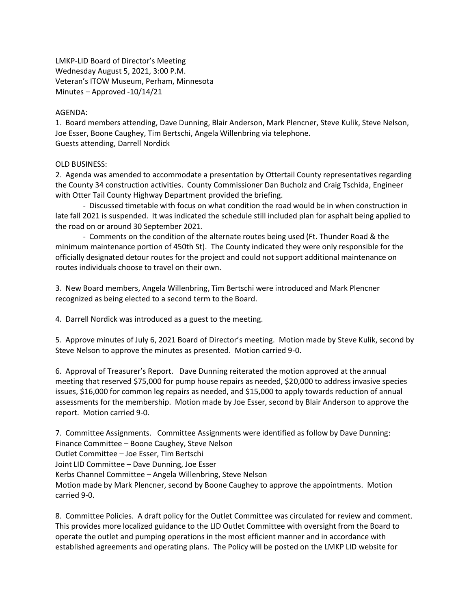LMKP-LID Board of Director's Meeting Wednesday August 5, 2021, 3:00 P.M. Veteran's ITOW Museum, Perham, Minnesota Minutes – Approved -10/14/21

## AGENDA:

1. Board members attending, Dave Dunning, Blair Anderson, Mark Plencner, Steve Kulik, Steve Nelson, Joe Esser, Boone Caughey, Tim Bertschi, Angela Willenbring via telephone. Guests attending, Darrell Nordick

## OLD BUSINESS:

2. Agenda was amended to accommodate a presentation by Ottertail County representatives regarding the County 34 construction activities. County Commissioner Dan Bucholz and Craig Tschida, Engineer with Otter Tail County Highway Department provided the briefing.

- Discussed timetable with focus on what condition the road would be in when construction in late fall 2021 is suspended. It was indicated the schedule still included plan for asphalt being applied to the road on or around 30 September 2021.

- Comments on the condition of the alternate routes being used (Ft. Thunder Road & the minimum maintenance portion of 450th St). The County indicated they were only responsible for the officially designated detour routes for the project and could not support additional maintenance on routes individuals choose to travel on their own.

3. New Board members, Angela Willenbring, Tim Bertschi were introduced and Mark Plencner recognized as being elected to a second term to the Board.

4. Darrell Nordick was introduced as a guest to the meeting.

5. Approve minutes of July 6, 2021 Board of Director's meeting. Motion made by Steve Kulik, second by Steve Nelson to approve the minutes as presented. Motion carried 9-0.

6. Approval of Treasurer's Report. Dave Dunning reiterated the motion approved at the annual meeting that reserved \$75,000 for pump house repairs as needed, \$20,000 to address invasive species issues, \$16,000 for common leg repairs as needed, and \$15,000 to apply towards reduction of annual assessments for the membership. Motion made by Joe Esser, second by Blair Anderson to approve the report. Motion carried 9-0.

7. Committee Assignments. Committee Assignments were identified as follow by Dave Dunning: Finance Committee – Boone Caughey, Steve Nelson Outlet Committee – Joe Esser, Tim Bertschi Joint LID Committee – Dave Dunning, Joe Esser Kerbs Channel Committee – Angela Willenbring, Steve Nelson Motion made by Mark Plencner, second by Boone Caughey to approve the appointments. Motion carried 9-0.

8. Committee Policies. A draft policy for the Outlet Committee was circulated for review and comment. This provides more localized guidance to the LID Outlet Committee with oversight from the Board to operate the outlet and pumping operations in the most efficient manner and in accordance with established agreements and operating plans. The Policy will be posted on the LMKP LID website for